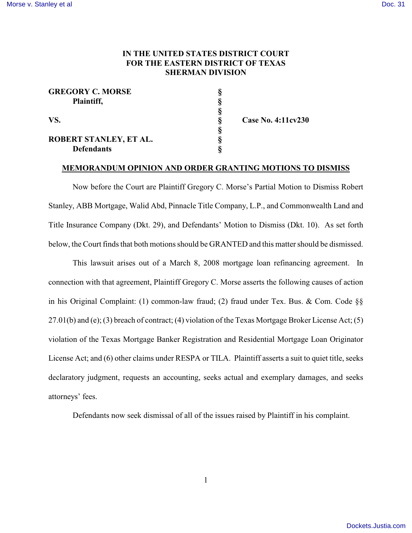## **IN THE UNITED STATES DISTRICT COURT FOR THE EASTERN DISTRICT OF TEXAS SHERMAN DIVISION**

| <b>GREGORY C. MORSE</b> |  |
|-------------------------|--|
| Plaintiff,<br>VS.       |  |
|                         |  |
|                         |  |
|                         |  |
| ROBERT STANLEY, ET AL.  |  |
| <b>Defendants</b>       |  |

**VS. § Case No. 4:11cv230**

### **MEMORANDUM OPINION AND ORDER GRANTING MOTIONS TO DISMISS**

Now before the Court are Plaintiff Gregory C. Morse's Partial Motion to Dismiss Robert Stanley, ABB Mortgage, Walid Abd, Pinnacle Title Company, L.P., and Commonwealth Land and Title Insurance Company (Dkt. 29), and Defendants' Motion to Dismiss (Dkt. 10). As set forth below, the Court finds that both motions should be GRANTED and this matter should be dismissed.

This lawsuit arises out of a March 8, 2008 mortgage loan refinancing agreement. In connection with that agreement, Plaintiff Gregory C. Morse asserts the following causes of action in his Original Complaint: (1) common-law fraud; (2) fraud under Tex. Bus. & Com. Code §§ 27.01(b) and (e); (3) breach of contract; (4) violation of the Texas Mortgage Broker License Act; (5) violation of the Texas Mortgage Banker Registration and Residential Mortgage Loan Originator License Act; and (6) other claims under RESPA or TILA. Plaintiff asserts a suit to quiet title, seeks declaratory judgment, requests an accounting, seeks actual and exemplary damages, and seeks attorneys' fees.

Defendants now seek dismissal of all of the issues raised by Plaintiff in his complaint.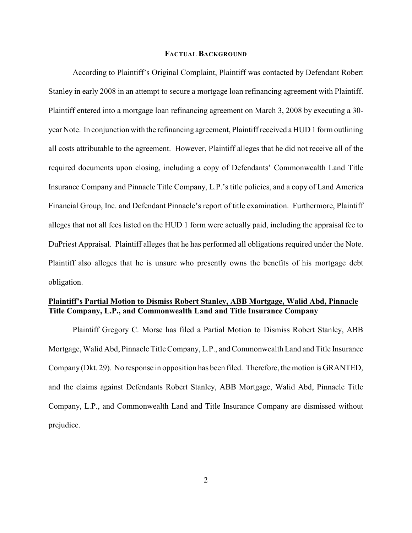### **FACTUAL BACKGROUND**

According to Plaintiff's Original Complaint, Plaintiff was contacted by Defendant Robert Stanley in early 2008 in an attempt to secure a mortgage loan refinancing agreement with Plaintiff. Plaintiff entered into a mortgage loan refinancing agreement on March 3, 2008 by executing a 30 year Note. In conjunction with the refinancing agreement, Plaintiff received a HUD 1 form outlining all costs attributable to the agreement. However, Plaintiff alleges that he did not receive all of the required documents upon closing, including a copy of Defendants' Commonwealth Land Title Insurance Company and Pinnacle Title Company, L.P.'s title policies, and a copy of Land America Financial Group, Inc. and Defendant Pinnacle's report of title examination. Furthermore, Plaintiff alleges that not all fees listed on the HUD 1 form were actually paid, including the appraisal fee to DuPriest Appraisal. Plaintiff alleges that he has performed all obligations required under the Note. Plaintiff also alleges that he is unsure who presently owns the benefits of his mortgage debt obligation.

# **Plaintiff's Partial Motion to Dismiss Robert Stanley, ABB Mortgage, Walid Abd, Pinnacle Title Company, L.P., and Commonwealth Land and Title Insurance Company**

Plaintiff Gregory C. Morse has filed a Partial Motion to Dismiss Robert Stanley, ABB Mortgage, Walid Abd, Pinnacle Title Company, L.P., and Commonwealth Land and Title Insurance Company (Dkt. 29). No response in opposition has been filed. Therefore, the motion is GRANTED, and the claims against Defendants Robert Stanley, ABB Mortgage, Walid Abd, Pinnacle Title Company, L.P., and Commonwealth Land and Title Insurance Company are dismissed without prejudice.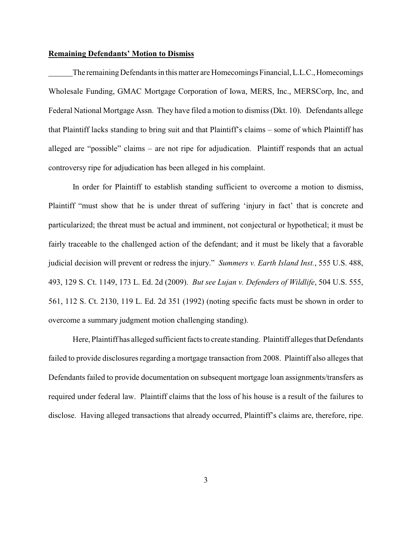#### **Remaining Defendants' Motion to Dismiss**

The remaining Defendants in this matter are Homecomings Financial, L.L.C., Homecomings Wholesale Funding, GMAC Mortgage Corporation of Iowa, MERS, Inc., MERSCorp, Inc, and Federal National Mortgage Assn. They have filed a motion to dismiss(Dkt. 10). Defendants allege that Plaintiff lacks standing to bring suit and that Plaintiff's claims – some of which Plaintiff has alleged are "possible" claims – are not ripe for adjudication. Plaintiff responds that an actual controversy ripe for adjudication has been alleged in his complaint.

In order for Plaintiff to establish standing sufficient to overcome a motion to dismiss, Plaintiff "must show that he is under threat of suffering 'injury in fact' that is concrete and particularized; the threat must be actual and imminent, not conjectural or hypothetical; it must be fairly traceable to the challenged action of the defendant; and it must be likely that a favorable judicial decision will prevent or redress the injury." *Summers v. Earth Island Inst.*, 555 U.S. 488, 493, 129 S. Ct. 1149, 173 L. Ed. 2d (2009). *But see Lujan v. Defenders of Wildlife*, 504 U.S. 555, 561, 112 S. Ct. 2130, 119 L. Ed. 2d 351 (1992) (noting specific facts must be shown in order to overcome a summary judgment motion challenging standing).

Here, Plaintiff has alleged sufficient facts to create standing. Plaintiff alleges that Defendants failed to provide disclosures regarding a mortgage transaction from 2008. Plaintiff also alleges that Defendants failed to provide documentation on subsequent mortgage loan assignments/transfers as required under federal law. Plaintiff claims that the loss of his house is a result of the failures to disclose. Having alleged transactions that already occurred, Plaintiff's claims are, therefore, ripe.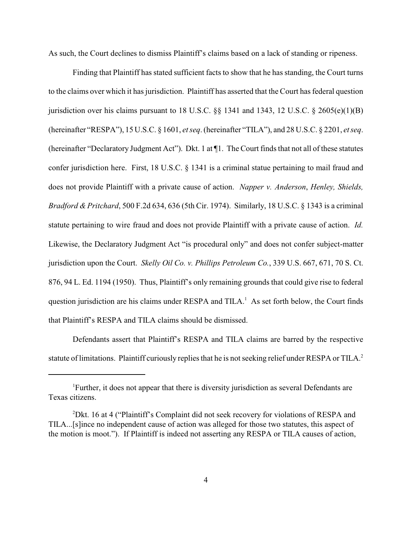As such, the Court declines to dismiss Plaintiff's claims based on a lack of standing or ripeness.

Finding that Plaintiff has stated sufficient facts to show that he has standing, the Court turns to the claims over which it has jurisdiction. Plaintiff has asserted that the Court has federal question jurisdiction over his claims pursuant to 18 U.S.C.  $\S$  1341 and 1343, 12 U.S.C.  $\S$  2605(e)(1)(B) (hereinafter "RESPA"), 15 U.S.C. § 1601, *et seq*. (hereinafter "TILA"), and 28 U.S.C. § 2201, *et seq*. (hereinafter "Declaratory Judgment Act"). Dkt. 1 at ¶1. The Court finds that not all of these statutes confer jurisdiction here. First, 18 U.S.C. § 1341 is a criminal statue pertaining to mail fraud and does not provide Plaintiff with a private cause of action. *Napper v. Anderson*, *Henley, Shields, Bradford & Pritchard*, 500 F.2d 634, 636 (5th Cir. 1974). Similarly, 18 U.S.C. § 1343 is a criminal statute pertaining to wire fraud and does not provide Plaintiff with a private cause of action. *Id.* Likewise, the Declaratory Judgment Act "is procedural only" and does not confer subject-matter jurisdiction upon the Court. *Skelly Oil Co. v. Phillips Petroleum Co.*, 339 U.S. 667, 671, 70 S. Ct. 876, 94 L. Ed. 1194 (1950). Thus, Plaintiff's only remaining grounds that could give rise to federal question jurisdiction are his claims under RESPA and TILA.<sup>1</sup> As set forth below, the Court finds that Plaintiff's RESPA and TILA claims should be dismissed.

Defendants assert that Plaintiff's RESPA and TILA claims are barred by the respective statute of limitations. Plaintiff curiously replies that he is not seeking relief under RESPA or TILA.<sup>2</sup>

Further, it does not appear that there is diversity jurisdiction as several Defendants are <sup>1</sup> Texas citizens.

<sup>&</sup>lt;sup>2</sup>Dkt. 16 at 4 ("Plaintiff's Complaint did not seek recovery for violations of RESPA and TILA...[s]ince no independent cause of action was alleged for those two statutes, this aspect of the motion is moot."). If Plaintiff is indeed not asserting any RESPA or TILA causes of action,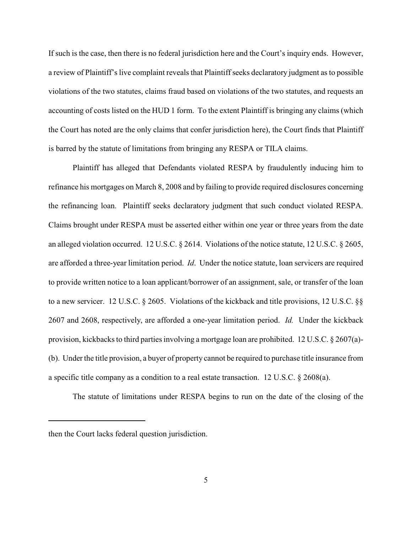If such is the case, then there is no federal jurisdiction here and the Court's inquiry ends. However, a review of Plaintiff's live complaint reveals that Plaintiff seeks declaratory judgment as to possible violations of the two statutes, claims fraud based on violations of the two statutes, and requests an accounting of costs listed on the HUD 1 form. To the extent Plaintiff is bringing any claims (which the Court has noted are the only claims that confer jurisdiction here), the Court finds that Plaintiff is barred by the statute of limitations from bringing any RESPA or TILA claims.

Plaintiff has alleged that Defendants violated RESPA by fraudulently inducing him to refinance his mortgages on March 8, 2008 and by failing to provide required disclosures concerning the refinancing loan. Plaintiff seeks declaratory judgment that such conduct violated RESPA. Claims brought under RESPA must be asserted either within one year or three years from the date an alleged violation occurred. 12 U.S.C. § 2614. Violations of the notice statute, 12 U.S.C. § 2605, are afforded a three-year limitation period. *Id*. Under the notice statute, loan servicers are required to provide written notice to a loan applicant/borrower of an assignment, sale, or transfer of the loan to a new servicer. 12 U.S.C. § 2605. Violations of the kickback and title provisions, 12 U.S.C. §§ 2607 and 2608, respectively, are afforded a one-year limitation period. *Id.* Under the kickback provision, kickbacks to third parties involving a mortgage loan are prohibited. 12 U.S.C. § 2607(a)- (b). Under the title provision, a buyer of property cannot be required to purchase title insurance from a specific title company as a condition to a real estate transaction. 12 U.S.C. § 2608(a).

The statute of limitations under RESPA begins to run on the date of the closing of the

then the Court lacks federal question jurisdiction.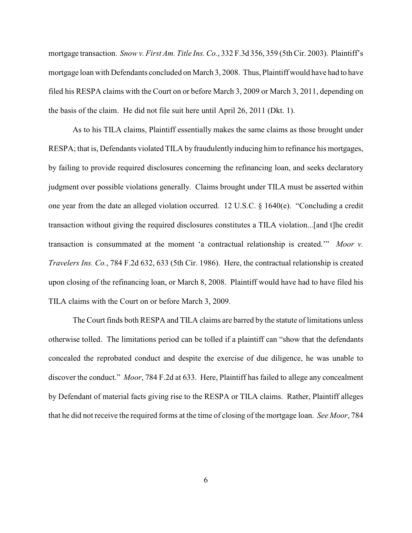mortgage transaction. *Snow v. First Am. Title Ins. Co.*, 332 F.3d 356, 359 (5th Cir. 2003). Plaintiff's mortgage loan with Defendants concluded on March 3, 2008. Thus, Plaintiff would have had to have filed his RESPA claims with the Court on or before March 3, 2009 or March 3, 2011, depending on the basis of the claim. He did not file suit here until April 26, 2011 (Dkt. 1).

As to his TILA claims, Plaintiff essentially makes the same claims as those brought under RESPA; that is, Defendants violated TILA by fraudulently inducing him to refinance his mortgages, by failing to provide required disclosures concerning the refinancing loan, and seeks declaratory judgment over possible violations generally. Claims brought under TILA must be asserted within one year from the date an alleged violation occurred. 12 U.S.C. § 1640(e). "Concluding a credit transaction without giving the required disclosures constitutes a TILA violation...[and t]he credit transaction is consummated at the moment 'a contractual relationship is created.'" *Moor v. Travelers Ins. Co.*, 784 F.2d 632, 633 (5th Cir. 1986). Here, the contractual relationship is created upon closing of the refinancing loan, or March 8, 2008. Plaintiff would have had to have filed his TILA claims with the Court on or before March 3, 2009.

The Court finds both RESPA and TILA claims are barred by the statute of limitations unless otherwise tolled. The limitations period can be tolled if a plaintiff can "show that the defendants concealed the reprobated conduct and despite the exercise of due diligence, he was unable to discover the conduct." *Moor*, 784 F.2d at 633. Here, Plaintiff has failed to allege any concealment by Defendant of material facts giving rise to the RESPA or TILA claims. Rather, Plaintiff alleges that he did not receive the required forms at the time of closing of the mortgage loan. *See Moor*, 784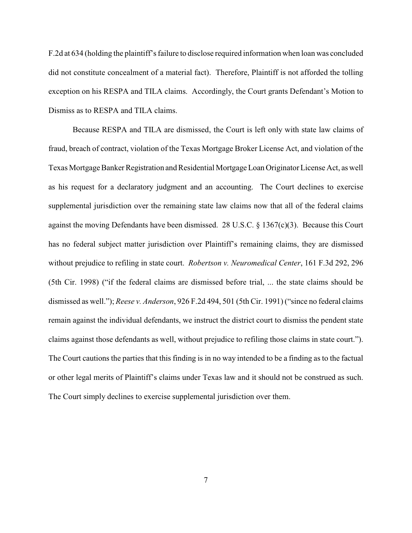F.2d at 634 (holding the plaintiff's failure to disclose required information when loan was concluded did not constitute concealment of a material fact). Therefore, Plaintiff is not afforded the tolling exception on his RESPA and TILA claims. Accordingly, the Court grants Defendant's Motion to Dismiss as to RESPA and TILA claims.

Because RESPA and TILA are dismissed, the Court is left only with state law claims of fraud, breach of contract, violation of the Texas Mortgage Broker License Act, and violation of the Texas Mortgage Banker Registration and Residential Mortgage Loan Originator License Act, as well as his request for a declaratory judgment and an accounting. The Court declines to exercise supplemental jurisdiction over the remaining state law claims now that all of the federal claims against the moving Defendants have been dismissed. 28 U.S.C. § 1367(c)(3). Because this Court has no federal subject matter jurisdiction over Plaintiff's remaining claims, they are dismissed without prejudice to refiling in state court. *Robertson v. Neuromedical Center*, 161 F.3d 292, 296 (5th Cir. 1998) ("if the federal claims are dismissed before trial, ... the state claims should be dismissed as well."); *Reese v. Anderson*, 926 F.2d 494, 501 (5th Cir. 1991) ("since no federal claims remain against the individual defendants, we instruct the district court to dismiss the pendent state claims against those defendants as well, without prejudice to refiling those claims in state court."). The Court cautions the parties that this finding is in no way intended to be a finding as to the factual or other legal merits of Plaintiff's claims under Texas law and it should not be construed as such. The Court simply declines to exercise supplemental jurisdiction over them.